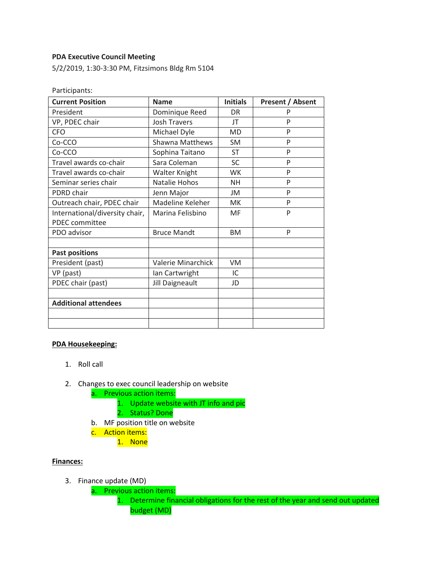### **PDA Executive Council Meeting**

5/2/2019, 1:30-3:30 PM, Fitzsimons Bldg Rm 5104

| <b>Current Position</b>        | <b>Name</b>         | <b>Initials</b> | <b>Present / Absent</b> |
|--------------------------------|---------------------|-----------------|-------------------------|
| President                      | Dominique Reed      | <b>DR</b>       |                         |
| VP, PDEC chair                 | <b>Josh Travers</b> | JT              | P                       |
| <b>CFO</b>                     | Michael Dyle        | <b>MD</b>       | P                       |
| Co-CCO                         | Shawna Matthews     | <b>SM</b>       | P                       |
| Co-CCO                         | Sophina Taitano     | <b>ST</b>       | P                       |
| Travel awards co-chair         | Sara Coleman        | <b>SC</b>       | P                       |
| Travel awards co-chair         | Walter Knight       | <b>WK</b>       | P                       |
| Seminar series chair           | Natalie Hohos       | NΗ              | P                       |
| PDRD chair                     | Jenn Major          | JM              | P                       |
| Outreach chair, PDEC chair     | Madeline Keleher    | <b>MK</b>       | P                       |
| International/diversity chair, | Marina Felisbino    | MF              | P                       |
| PDEC committee                 |                     |                 |                         |
| PDO advisor                    | <b>Bruce Mandt</b>  | <b>BM</b>       | P                       |
|                                |                     |                 |                         |
| <b>Past positions</b>          |                     |                 |                         |
| President (past)               | Valerie Minarchick  | VM.             |                         |
| VP (past)                      | Ian Cartwright      | IC              |                         |
| PDEC chair (past)              | Jill Daigneault     | JD              |                         |
|                                |                     |                 |                         |
| <b>Additional attendees</b>    |                     |                 |                         |
|                                |                     |                 |                         |
|                                |                     |                 |                         |

#### **PDA Housekeeping:**

- 1. Roll call
- 2. Changes to exec council leadership on website
	- a. Previous action items:
		- 1. Update website with JT info and pic
		- 2. Status? Done
	- b. MF position title on website
	- c. Action items:
		- 1. None

# **Finances:**

- 3. Finance update (MD)
	- a. Previous action items:
		- 1. Determine financial obligations for the rest of the year and send out updated budget (MD)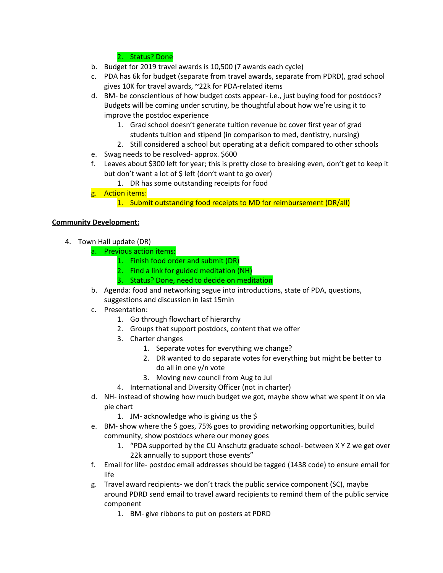# 2. Status? Done

- b. Budget for 2019 travel awards is 10,500 (7 awards each cycle)
- c. PDA has 6k for budget (separate from travel awards, separate from PDRD), grad school gives 10K for travel awards, ~22k for PDA-related items
- d. BM- be conscientious of how budget costs appear- i.e., just buying food for postdocs? Budgets will be coming under scrutiny, be thoughtful about how we're using it to improve the postdoc experience
	- 1. Grad school doesn't generate tuition revenue bc cover first year of grad students tuition and stipend (in comparison to med, dentistry, nursing)
	- 2. Still considered a school but operating at a deficit compared to other schools
- e. Swag needs to be resolved- approx. \$600
- f. Leaves about \$300 left for year; this is pretty close to breaking even, don't get to keep it but don't want a lot of \$ left (don't want to go over)
	- 1. DR has some outstanding receipts for food
- g. Action items:
	- 1. Submit outstanding food receipts to MD for reimbursement (DR/all)

# **Community Development:**

- 4. Town Hall update (DR)
	- a. Previous action items:
		- 1. Finish food order and submit (DR)
		- 2. Find a link for guided meditation (NH)
		- 3. Status? Done, need to decide on meditation
	- b. Agenda: food and networking segue into introductions, state of PDA, questions, suggestions and discussion in last 15min
	- c. Presentation:
		- 1. Go through flowchart of hierarchy
		- 2. Groups that support postdocs, content that we offer
		- 3. Charter changes
			- 1. Separate votes for everything we change?
			- 2. DR wanted to do separate votes for everything but might be better to do all in one y/n vote
			- 3. Moving new council from Aug to Jul
		- 4. International and Diversity Officer (not in charter)
	- d. NH- instead of showing how much budget we got, maybe show what we spent it on via pie chart
		- 1. JM- acknowledge who is giving us the \$
	- e. BM- show where the \$ goes, 75% goes to providing networking opportunities, build community, show postdocs where our money goes
		- 1. "PDA supported by the CU Anschutz graduate school- between X Y Z we get over 22k annually to support those events"
	- f. Email for life- postdoc email addresses should be tagged (1438 code) to ensure email for life
	- g. Travel award recipients- we don't track the public service component (SC), maybe around PDRD send email to travel award recipients to remind them of the public service component
		- 1. BM- give ribbons to put on posters at PDRD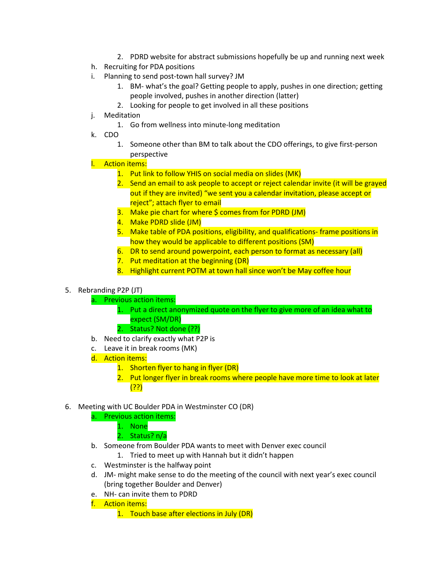- 2. PDRD website for abstract submissions hopefully be up and running next week
- h. Recruiting for PDA positions
- i. Planning to send post-town hall survey? JM
	- 1. BM- what's the goal? Getting people to apply, pushes in one direction; getting people involved, pushes in another direction (latter)
	- 2. Looking for people to get involved in all these positions
- j. Meditation
	- 1. Go from wellness into minute-long meditation
- k. CDO
	- 1. Someone other than BM to talk about the CDO offerings, to give first-person perspective

# l. Action items:

- 1. Put link to follow YHIS on social media on slides (MK)
- 2. Send an email to ask people to accept or reject calendar invite (it will be grayed out if they are invited) "we sent you a calendar invitation, please accept or reject"; attach flyer to email
- 3. Make pie chart for where \$ comes from for PDRD (JM)
- 4. Make PDRD slide (JM)
- 5. Make table of PDA positions, eligibility, and qualifications- frame positions in how they would be applicable to different positions (SM)
- 6. DR to send around powerpoint, each person to format as necessary (all)
- 7. Put meditation at the beginning (DR)
- 8. Highlight current POTM at town hall since won't be May coffee hour

### 5. Rebranding P2P (JT)

- a. Previous action items:
	- 1. Put a direct anonymized quote on the flyer to give more of an idea what to expect (SM/DR)
	- 2. Status? Not done (??)
- b. Need to clarify exactly what P2P is
- c. Leave it in break rooms (MK)
- d. Action items:
	- 1. Shorten flyer to hang in flyer (DR)
	- 2. Put longer flyer in break rooms where people have more time to look at later (??)
- 6. Meeting with UC Boulder PDA in Westminster CO (DR)
	- a. Previous action items:
		- 1. None
			- 2. Status? n/a
	- b. Someone from Boulder PDA wants to meet with Denver exec council
		- 1. Tried to meet up with Hannah but it didn't happen
	- c. Westminster is the halfway point
	- d. JM- might make sense to do the meeting of the council with next year's exec council (bring together Boulder and Denver)
	- e. NH- can invite them to PDRD
	- f. Action items:
		- 1. Touch base after elections in July (DR)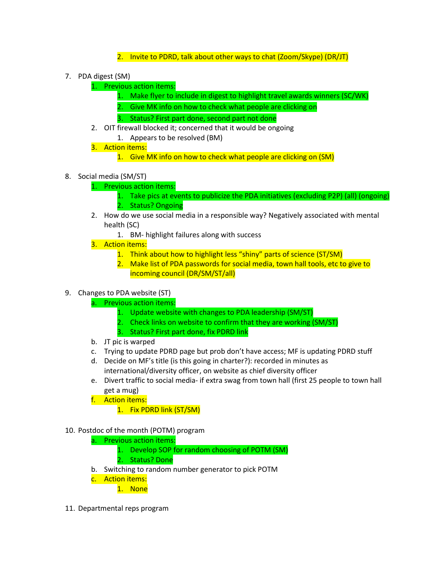- 2. Invite to PDRD, talk about other ways to chat (Zoom/Skype) (DR/JT)
- 7. PDA digest (SM)
	- 1. Previous action items:
		- 1. Make flyer to include in digest to highlight travel awards winners (SC/WK)
		- 2. Give MK info on how to check what people are clicking on
		- 3. Status? First part done, second part not done
	- 2. OIT firewall blocked it; concerned that it would be ongoing
		- 1. Appears to be resolved (BM)
	- 3. Action items:
		- 1. Give MK info on how to check what people are clicking on (SM)
- 8. Social media (SM/ST)
	- 1. Previous action items:
		- 1. Take pics at events to publicize the PDA initiatives (excluding P2P) (all) (ongoing) 2. Status? Ongoing
	- 2. How do we use social media in a responsible way? Negatively associated with mental health (SC)
		- 1. BM- highlight failures along with success
	- 3. Action items:
		- 1. Think about how to highlight less "shiny" parts of science (ST/SM)
		- 2. Make list of PDA passwords for social media, town hall tools, etc to give to incoming council (DR/SM/ST/all)
- 9. Changes to PDA website (ST)
	- a. Previous action items:
		- 1. Update website with changes to PDA leadership (SM/ST)
		- 2. Check links on website to confirm that they are working (SM/ST)
		- 3. Status? First part done, fix PDRD link
	- b. JT pic is warped
	- c. Trying to update PDRD page but prob don't have access; MF is updating PDRD stuff
	- d. Decide on MF's title (is this going in charter?): recorded in minutes as international/diversity officer, on website as chief diversity officer
	- e. Divert traffic to social media- if extra swag from town hall (first 25 people to town hall get a mug)
	- f. Action items:
		- 1. Fix PDRD link (ST/SM)
- 10. Postdoc of the month (POTM) program
	- a. Previous action items:
		- 1. Develop SOP for random choosing of POTM (SM)
		- 2. Status? Done
	- b. Switching to random number generator to pick POTM
	- c. Action items:
		- 1. None
- 11. Departmental reps program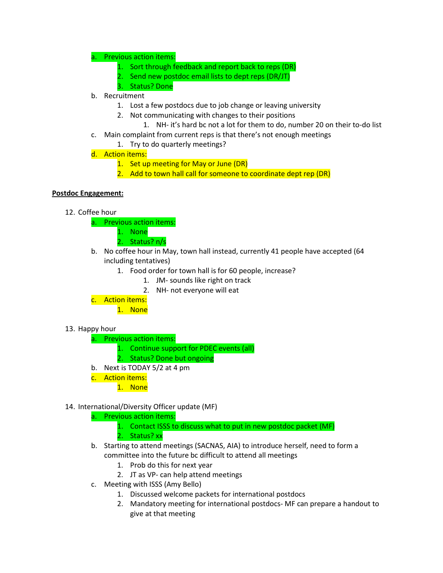### a. Previous action items:

- 1. Sort through feedback and report back to reps (DR)
- 2. Send new postdoc email lists to dept reps (DR/JT)
- 3. Status? Done
- b. Recruitment
	- 1. Lost a few postdocs due to job change or leaving university
	- 2. Not communicating with changes to their positions
		- 1. NH- it's hard bc not a lot for them to do, number 20 on their to-do list
- c. Main complaint from current reps is that there's not enough meetings
	- 1. Try to do quarterly meetings?
- d. Action items:
	- 1. Set up meeting for May or June (DR)
	- 2. Add to town hall call for someone to coordinate dept rep (DR)

# **Postdoc Engagement:**

- 12. Coffee hour
	- a. Previous action items:
		- 1. None
		- 2. Status? n/s
	- b. No coffee hour in May, town hall instead, currently 41 people have accepted (64 including tentatives)
		- 1. Food order for town hall is for 60 people, increase?
			- 1. JM- sounds like right on track
			- 2. NH- not everyone will eat
	- c. Action items:

1. None

#### 13. Happy hour

- a. Previous action items:
	- 1. Continue support for PDEC events (all)
	- 2. Status? Done but ongoing
- b. Next is TODAY 5/2 at 4 pm
- c. Action items:
	- 1. None

# 14. International/Diversity Officer update (MF)

# a. Previous action items:

- 1. Contact ISSS to discuss what to put in new postdoc packet (MF) 2. Status? xx
- b. Starting to attend meetings (SACNAS, AIA) to introduce herself, need to form a committee into the future bc difficult to attend all meetings
	- 1. Prob do this for next year
	- 2. JT as VP- can help attend meetings
- c. Meeting with ISSS (Amy Bello)
	- 1. Discussed welcome packets for international postdocs
	- 2. Mandatory meeting for international postdocs- MF can prepare a handout to give at that meeting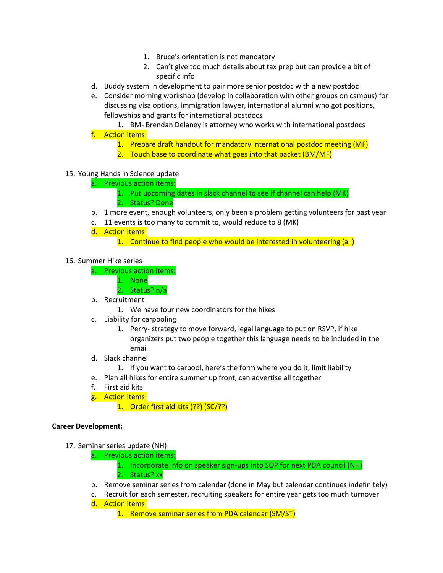- 1. Bruce's orientation is not mandatory
- 2. Can't give too much details about tax prep but can provide a bit of specific info
- d. Buddy system in development to pair more senior postdoc with a new postdoc
- e. Consider morning workshop (develop in collaboration with other groups on campus) for discussing visa options, immigration lawyer, international alumni who got positions, fellowships and grants for international postdocs
- 1. BM- Brendan Delaney is attorney who works with international postdocs f. Action items:
	- 1. Prepare draft handout for mandatory international postdoc meeting (MF)
	- 2. Touch base to coordinate what goes into that packet (BM/MF)

# 15. Young Hands in Science update

- a. Previous action items:
	- 1. Put upcoming dates in slack channel to see if channel can help (MK)
	- 2. Status? Done
- b. 1 more event, enough volunteers, only been a problem getting volunteers for past year
- c. 11 events is too many to commit to, would reduce to 8 (MK)
- d. Action items:
	- 1. Continue to find people who would be interested in volunteering (all)
- 16. Summer Hike series
	- a. Previous action items:
		- 1. None
		- 2. Status? n/a
	- b. Recruitment
		- 1. We have four new coordinators for the hikes
	- c. Liability for carpooling
		- 1. Perry- strategy to move forward, legal language to put on RSVP, if hike organizers put two people together this language needs to be included in the email
	- d. Slack channel
		- 1. If you want to carpool, here's the form where you do it, limit liability
	- e. Plan all hikes for entire summer up front, can advertise all together
	- f. First aid kits
	- g. Action items:
		- 1. Order first aid kits (??) (SC/??)

#### **Career Development:**

- 17. Seminar series update (NH)
	- a. Previous action items:
		- 1. Incorporate info on speaker sign-ups into SOP for next PDA council (NH)
		- 2. Status? xx
	- b. Remove seminar series from calendar (done in May but calendar continues indefinitely)
	- c. Recruit for each semester, recruiting speakers for entire year gets too much turnover d. Action items:
		- 1. Remove seminar series from PDA calendar (SM/ST)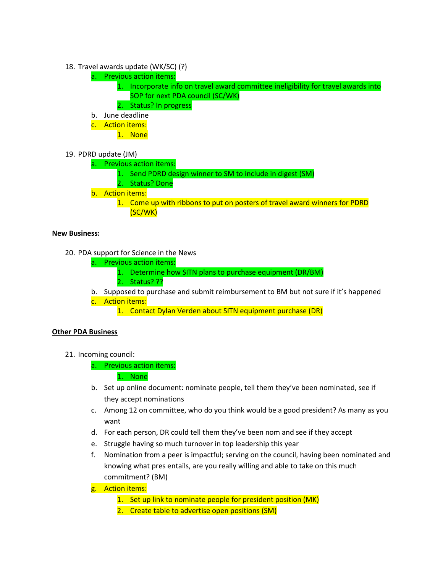- 18. Travel awards update (WK/SC) (?)
	- a. Previous action items:
		- 1. Incorporate info on travel award committee ineligibility for travel awards into SOP for next PDA council (SC/WK)
		- 2. Status? In progress
	- b. June deadline
	- c. Action items:
		- 1. None
- 19. PDRD update (JM)
	- a. Previous action items:
		- 1. Send PDRD design winner to SM to include in digest (SM)
		- 2. Status? Done
	- b. Action items:
		- 1. Come up with ribbons to put on posters of travel award winners for PDRD (SC/WK)

#### **New Business:**

- 20. PDA support for Science in the News
	- a. Previous action items:
		- 1. Determine how SITN plans to purchase equipment (DR/BM)
		- 2. Status? ??
	- b. Supposed to purchase and submit reimbursement to BM but not sure if it's happened c. Action items:
		- 1. Contact Dylan Verden about SITN equipment purchase (DR)

#### **Other PDA Business**

- 21. Incoming council:
	- a. Previous action items:

1. None

- b. Set up online document: nominate people, tell them they've been nominated, see if they accept nominations
- c. Among 12 on committee, who do you think would be a good president? As many as you want
- d. For each person, DR could tell them they've been nom and see if they accept
- e. Struggle having so much turnover in top leadership this year
- f. Nomination from a peer is impactful; serving on the council, having been nominated and knowing what pres entails, are you really willing and able to take on this much commitment? (BM)
- g. Action items:
	- 1. Set up link to nominate people for president position (MK)
	- 2. Create table to advertise open positions (SM)